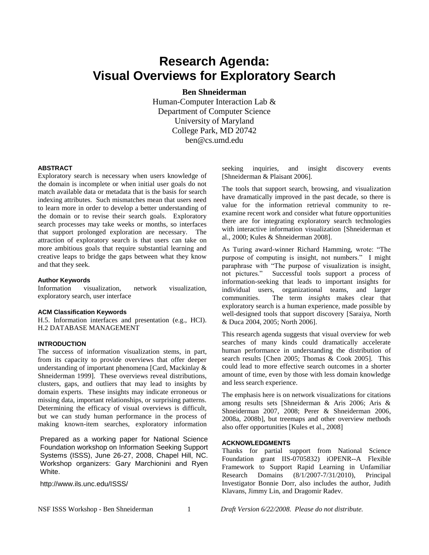# **Research Agenda: Visual Overviews for Exploratory Search**

**Ben Shneiderman**

Human-Computer Interaction Lab & Department of Computer Science University of Maryland College Park, MD 20742 ben@cs.umd.edu

### **ABSTRACT**

Exploratory search is necessary when users knowledge of the domain is incomplete or when initial user goals do not match available data or metadata that is the basis for search indexing attributes. Such mismatches mean that users need to learn more in order to develop a better understanding of the domain or to revise their search goals. Exploratory search processes may take weeks or months, so interfaces that support prolonged exploration are necessary. The attraction of exploratory search is that users can take on more ambitious goals that require substantial learning and creative leaps to bridge the gaps between what they know and that they seek.

#### **Author Keywords**

Information visualization, network visualization, exploratory search, user interface

#### **ACM Classification Keywords**

H.5. Information interfaces and presentation (e.g., HCI). H.2 DATABASE MANAGEMENT

#### **INTRODUCTION**

The success of information visualization stems, in part, from its capacity to provide overviews that offer deeper understanding of important phenomena [Card, Mackinlay & Shneiderman 1999]. These overviews reveal distributions, clusters, gaps, and outliers that may lead to insights by domain experts. These insights may indicate erroneous or missing data, important relationships, or surprising patterns. Determining the efficacy of visual overviews is difficult, but we can study human performance in the process of making known-item searches, exploratory information

Prepared as a working paper for National Science Foundation workshop on Information Seeking Support Systems (ISSS), June 26-27, 2008, Chapel Hill, NC. Workshop organizers: Gary Marchionini and Ryen White.

http://www.ils.unc.edu/ISSS/

seeking inquiries, and insight discovery events [Shneiderman & Plaisant 2006].

The tools that support search, browsing, and visualization have dramatically improved in the past decade, so there is value for the information retrieval community to reexamine recent work and consider what future opportunities there are for integrating exploratory search technologies with interactive information visualization [Shneiderman et al., 2000; Kules & Shneiderman 2008].

As Turing award-winner Richard Hamming, wrote: "The purpose of computing is insight, not numbers." I might paraphrase with "The purpose of visualization is insight, not pictures." Successful tools support a process of information-seeking that leads to important insights for individual users, organizational teams, and larger communities. The term *insights* makes clear that exploratory search is a human experience, made possible by well-designed tools that support discovery [Saraiya, North & Duca 2004, 2005; North 2006].

This research agenda suggests that visual overview for web searches of many kinds could dramatically accelerate human performance in understanding the distribution of search results [Chen 2005; Thomas & Cook 2005]. This could lead to more effective search outcomes in a shorter amount of time, even by those with less domain knowledge and less search experience.

The emphasis here is on network visualizations for citations among results sets [Shneiderman & Aris 2006; Aris & Shneiderman 2007, 2008; Perer & Shneiderman 2006, 2008a, 2008b], but treemaps and other overview methods also offer opportunities [Kules et al., 2008]

## **ACKNOWLEDGMENTS**

Thanks for partial support from National Science Foundation grant IIS-0705832) iOPENR--A Flexible Framework to Support Rapid Learning in Unfamiliar Research Domains (8/1/2007-7/31/2010), Principal Investigator Bonnie Dorr, also includes the author, Judith Klavans, Jimmy Lin, and Dragomir Radev.

NSF ISSS Workshop - Ben Shneiderman 1 *Draft Version 6/22/2008. Please do not distribute.*